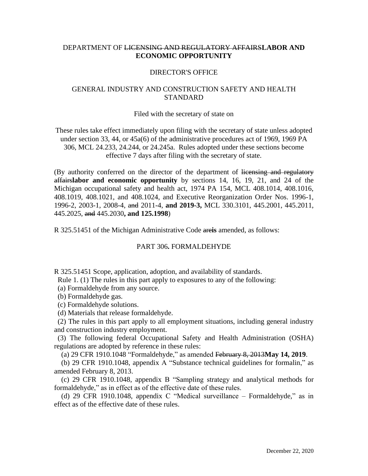# DEPARTMENT OF LICENSING AND REGULATORY AFFAIRS**LABOR AND ECONOMIC OPPORTUNITY**

#### DIRECTOR'S OFFICE

# GENERAL INDUSTRY AND CONSTRUCTION SAFETY AND HEALTH STANDARD

#### Filed with the secretary of state on

These rules take effect immediately upon filing with the secretary of state unless adopted under section 33, 44, or 45a(6) of the administrative procedures act of 1969, 1969 PA 306, MCL 24.233, 24.244, or 24.245a. Rules adopted under these sections become effective 7 days after filing with the secretary of state.

(By authority conferred on the director of the department of licensing and regulatory affairs**labor and economic opportunity** by sections 14, 16, 19, 21, and 24 of the Michigan occupational safety and health act, 1974 PA 154, MCL 408.1014, 408.1016, 408.1019, 408.1021, and 408.1024, and Executive Reorganization Order Nos. 1996-1, 1996-2, 2003-1, 2008-4, and 2011-4, **and 2019-3,** MCL 330.3101, 445.2001, 445.2011, 445.2025, and 445.2030**, and 125.1998**)

R 325.51451 of the Michigan Administrative Code are**is** amended, as follows:

### PART 306**.** FORMALDEHYDE

R 325.51451 Scope, application, adoption, and availability of standards.

Rule 1. (1) The rules in this part apply to exposures to any of the following:

(a) Formaldehyde from any source.

(b) Formaldehyde gas.

(c) Formaldehyde solutions.

(d) Materials that release formaldehyde.

 (2) The rules in this part apply to all employment situations, including general industry and construction industry employment.

 (3) The following federal Occupational Safety and Health Administration (OSHA) regulations are adopted by reference in these rules:

(a) 29 CFR 1910.1048 "Formaldehyde," as amended February 8, 2013**May 14, 2019**.

 (b) 29 CFR 1910.1048, appendix A "Substance technical guidelines for formalin," as amended February 8, 2013.

 (c) 29 CFR 1910.1048, appendix B "Sampling strategy and analytical methods for formaldehyde," as in effect as of the effective date of these rules.

 (d) 29 CFR 1910.1048, appendix C "Medical surveillance – Formaldehyde," as in effect as of the effective date of these rules.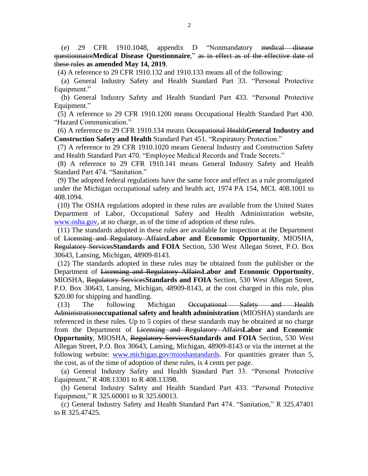(e) 29 CFR 1910.1048, appendix D "Nonmandatory medical disease questionnaire**Medical Disease Questionnaire**," as in effect as of the effective date of these rules **as amended May 14, 2019**.

(4) A reference to 29 CFR 1910.132 and 1910.133 means all of the following:

 (a) General Industry Safety and Health Standard Part 33. "Personal Protective Equipment."

 (b) General Industry Safety and Health Standard Part 433. "Personal Protective Equipment."

 (5) A reference to 29 CFR 1910.1200 means Occupational Health Standard Part 430. "Hazard Communication."

 (6) A reference to 29 CFR 1910.134 means Occupational Health**General Industry and Construction Safety and Health** Standard Part 451. "Respiratory Protection."

 (7) A reference to 29 CFR 1910.1020 means General Industry and Construction Safety and Health Standard Part 470. "Employee Medical Records and Trade Secrets."

 (8) A reference to 29 CFR 1910.141 means General Industry Safety and Health Standard Part 474. "Sanitation."

 (9) The adopted federal regulations have the same force and effect as a rule promulgated under the Michigan occupational safety and health act, 1974 PA 154, MCL 408.1001 to 408.1094.

 (10) The OSHA regulations adopted in these rules are available from the United States Department of Labor, Occupational Safety and Health Administration website, [www.osha.gov,](http://www.osha.gov/) at no charge, as of the time of adoption of these rules.

 (11) The standards adopted in these rules are available for inspection at the Department of Licensing and Regulatory Affairs**Labor and Economic Opportunity**, MIOSHA, Regulatory Services**Standards and FOIA** Section, 530 West Allegan Street, P.O. Box 30643, Lansing, Michigan, 48909-8143.

 (12) The standards adopted in these rules may be obtained from the publisher or the Department of Licensing and Regulatory Affairs**Labor and Economic Opportunity**, MIOSHA, Regulatory Services**Standards and FOIA** Section, 530 West Allegan Street, P.O. Box 30643, Lansing, Michigan, 48909-8143, at the cost charged in this rule, plus \$20.00 for shipping and handling.

 (13) The following Michigan Occupational Safety and Health Administration**occupational safety and health administration** (MIOSHA) standards are referenced in these rules. Up to 5 copies of these standards may be obtained at no charge from the Department of Licensing and Regulatory Affairs**Labor and Economic Opportunity**, MIOSHA, Regulatory Services**Standards and FOIA** Section, 530 West Allegan Street, P.O. Box 30643, Lansing, Michigan, 48909-8143 or via the internet at the following website: [www.michigan.gov/mioshastandards.](http://www.michigan.gov/mioshastandards) For quantities greater than 5, the cost, as of the time of adoption of these rules, is 4 cents per page.

 (a) General Industry Safety and Health Standard Part 33. "Personal Protective Equipment," R 408.13301 to R 408.13398.

 (b) General Industry Safety and Health Standard Part 433. "Personal Protective Equipment," R 325.60001 to R 325.60013.

 (c) General Industry Safety and Health Standard Part 474. "Sanitation," R 325.47401 to R 325.47425.